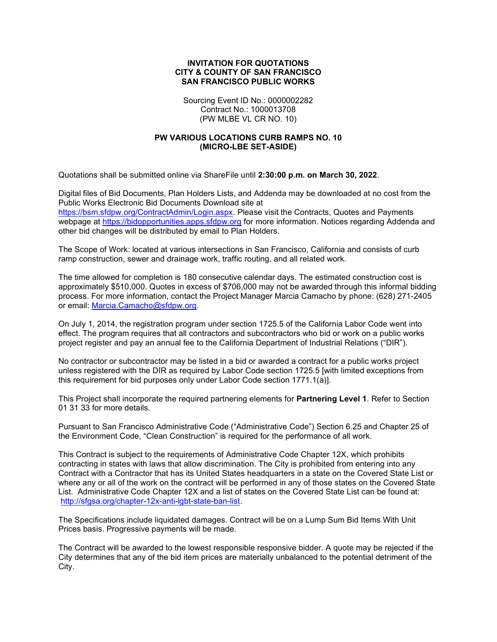## INVITATION FOR QUOTATIONS CITY & COUNTY OF SAN FRANCISCO SAN FRANCISCO PUBLIC WORKS

Sourcing Event ID No.: 0000002282 Contract No.: 1000013708 (PW MLBE VL CR NO. 10)

## PW VARIOUS LOCATIONS CURB RAMPS NO. 10 (MICRO-LBE SET-ASIDE)

Quotations shall be submitted online via ShareFile until 2:30:00 p.m. on March 30, 2022.

Digital files of Bid Documents, Plan Holders Lists, and Addenda may be downloaded at no cost from the Public Works Electronic Bid Documents Download site at https://bsm.sfdpw.org/ContractAdmin/Login.aspx. Please visit the Contracts, Quotes and Payments webpage at https://bidopportunities.apps.sfdpw.org for more information. Notices regarding Addenda and other bid changes will be distributed by email to Plan Holders.

The Scope of Work: located at various intersections in San Francisco, California and consists of curb ramp construction, sewer and drainage work, traffic routing, and all related work.

The time allowed for completion is 180 consecutive calendar days. The estimated construction cost is approximately \$510,000. Quotes in excess of \$706,000 may not be awarded through this informal bidding process. For more information, contact the Project Manager Marcia Camacho by phone: (628) 271-2405 or email: Marcia.Camacho@sfdpw.org.

On July 1, 2014, the registration program under section 1725.5 of the California Labor Code went into effect. The program requires that all contractors and subcontractors who bid or work on a public works project register and pay an annual fee to the California Department of Industrial Relations ("DIR").

No contractor or subcontractor may be listed in a bid or awarded a contract for a public works project unless registered with the DIR as required by Labor Code section 1725.5 [with limited exceptions from this requirement for bid purposes only under Labor Code section 1771.1(a)].

This Project shall incorporate the required partnering elements for **Partnering Level 1**. Refer to Section 01 31 33 for more details.

Pursuant to San Francisco Administrative Code ("Administrative Code") Section 6.25 and Chapter 25 of the Environment Code, "Clean Construction" is required for the performance of all work.

This Contract is subject to the requirements of Administrative Code Chapter 12X, which prohibits contracting in states with laws that allow discrimination. The City is prohibited from entering into any Contract with a Contractor that has its United States headquarters in a state on the Covered State List or where any or all of the work on the contract will be performed in any of those states on the Covered State List. Administrative Code Chapter 12X and a list of states on the Covered State List can be found at: http://sfgsa.org/chapter-12x-anti-lgbt-state-ban-list.

The Specifications include liquidated damages. Contract will be on a Lump Sum Bid Items With Unit Prices basis. Progressive payments will be made.

The Contract will be awarded to the lowest responsible responsive bidder. A quote may be rejected if the City determines that any of the bid item prices are materially unbalanced to the potential detriment of the City.